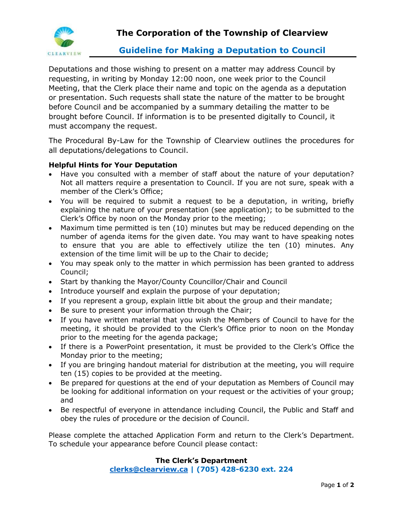

## **Guideline for Making a Deputation to Council**

Deputations and those wishing to present on a matter may address Council by requesting, in writing by Monday 12:00 noon, one week prior to the Council Meeting, that the Clerk place their name and topic on the agenda as a deputation or presentation. Such requests shall state the nature of the matter to be brought before Council and be accompanied by a summary detailing the matter to be brought before Council. If information is to be presented digitally to Council, it must accompany the request.

The Procedural By-Law for the Township of Clearview outlines the procedures for all deputations/delegations to Council.

### **Helpful Hints for Your Deputation**

- Have you consulted with a member of staff about the nature of your deputation? Not all matters require a presentation to Council. If you are not sure, speak with a member of the Clerk's Office;
- You will be required to submit a request to be a deputation, in writing, briefly explaining the nature of your presentation (see application); to be submitted to the Clerk's Office by noon on the Monday prior to the meeting;
- Maximum time permitted is ten (10) minutes but may be reduced depending on the number of agenda items for the given date. You may want to have speaking notes to ensure that you are able to effectively utilize the ten (10) minutes. Any extension of the time limit will be up to the Chair to decide;
- You may speak only to the matter in which permission has been granted to address Council;
- Start by thanking the Mayor/County Councillor/Chair and Council
- Introduce yourself and explain the purpose of your deputation;
- If you represent a group, explain little bit about the group and their mandate;
- Be sure to present your information through the Chair;
- If you have written material that you wish the Members of Council to have for the meeting, it should be provided to the Clerk's Office prior to noon on the Monday prior to the meeting for the agenda package;
- If there is a PowerPoint presentation, it must be provided to the Clerk's Office the Monday prior to the meeting;
- If you are bringing handout material for distribution at the meeting, you will require ten (15) copies to be provided at the meeting.
- Be prepared for questions at the end of your deputation as Members of Council may be looking for additional information on your request or the activities of your group; and
- Be respectful of everyone in attendance including Council, the Public and Staff and obey the rules of procedure or the decision of Council.

Please complete the attached Application Form and return to the Clerk's Department. To schedule your appearance before Council please contact:

### **The Clerk's Department**

**[clerks@clearview.ca](mailto:clerks@clearview.ca) | (705) 428-6230 ext. 224**